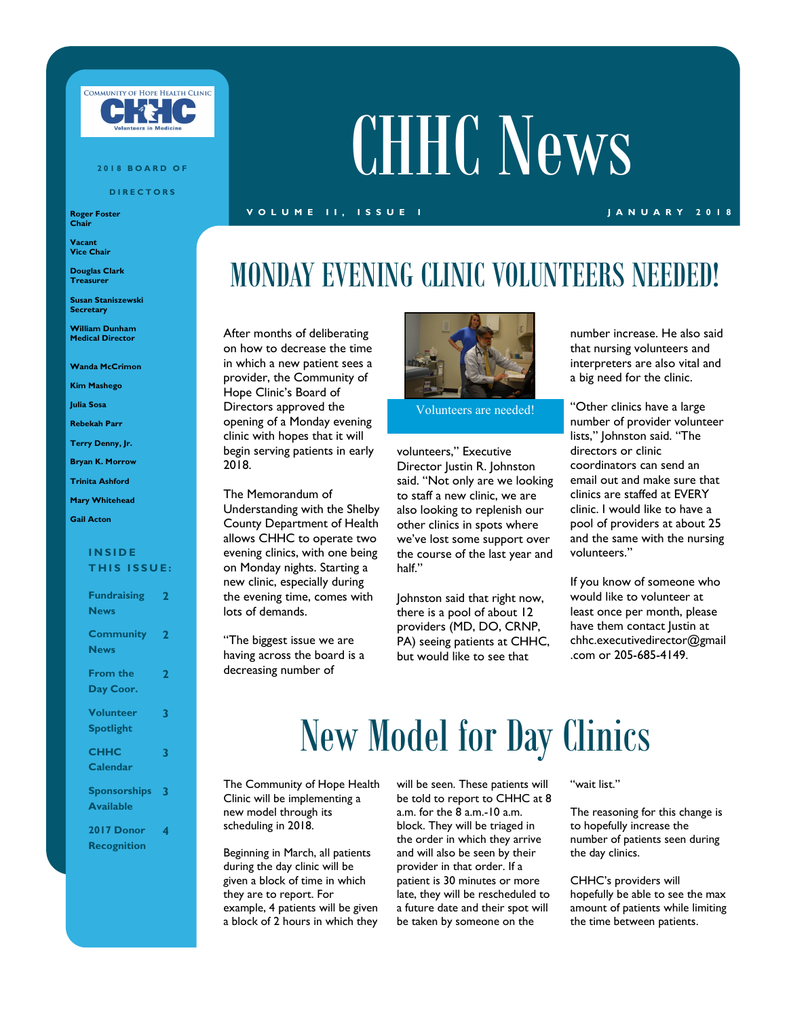

#### **2 0 1 8 B O A R D O F**

**D I R E C T O R S**

**Roger Foster Chair**

**Vacant Vice Chair**

**Douglas Clark Treasurer**

**Susan Staniszewski Secretary**

**William Dunham Medical Director**

**Wanda McCrimon**

**Kim Mashego**

**Julia Sosa**

**Rebekah Parr**

**Terry Denny, Jr.**

**Bryan K. Morrow**

**Trinita Ashford**

**Mary Whitehead**

### **Gail Acton**

### **I N S I D E THIS ISSUE:**

| <b>Fundraising</b><br><b>News</b>       | $\overline{2}$          |
|-----------------------------------------|-------------------------|
| <b>Community</b> 2<br><b>News</b>       |                         |
| <b>From the</b><br>Day Coor.            | $\overline{\mathbf{2}}$ |
| <b>Volunteer</b><br><b>Spotlight</b>    | 3                       |
| <b>CHHC</b><br><b>Calendar</b>          | 3                       |
| <b>Sponsorships</b><br><b>Available</b> | $\overline{\mathbf{3}}$ |
| 2017 Donor<br><b>Recognition</b>        | 4                       |

# CHHC News

### **V O L U M E I I , I S S U E I J A N U A R Y 2 0 1 8**

### MONDAY EVENING CLINIC VOLUNTEERS NEEDED!

After months of deliberating on how to decrease the time in which a new patient sees a provider, the Community of Hope Clinic's Board of Directors approved the opening of a Monday evening clinic with hopes that it will begin serving patients in early 2018.

The Memorandum of Understanding with the Shelby County Department of Health allows CHHC to operate two evening clinics, with one being on Monday nights. Starting a new clinic, especially during the evening time, comes with lots of demands.

"The biggest issue we are having across the board is a decreasing number of



Volunteers are needed!

volunteers," Executive Director Justin R. Johnston said. "Not only are we looking to staff a new clinic, we are also looking to replenish our other clinics in spots where we've lost some support over the course of the last year and half."

Johnston said that right now, there is a pool of about 12 providers (MD, DO, CRNP, PA) seeing patients at CHHC, but would like to see that

number increase. He also said that nursing volunteers and interpreters are also vital and a big need for the clinic.

"Other clinics have a large number of provider volunteer lists," Johnston said. "The directors or clinic coordinators can send an email out and make sure that clinics are staffed at EVERY clinic. I would like to have a pool of providers at about 25 and the same with the nursing volunteers."

If you know of someone who would like to volunteer at least once per month, please have them contact Justin at chhc.executivedirector@gmail .com or 205-685-4149.

## New Model for Day Clinics

The Community of Hope Health Clinic will be implementing a new model through its scheduling in 2018.

Beginning in March, all patients during the day clinic will be given a block of time in which they are to report. For example, 4 patients will be given a block of 2 hours in which they will be seen. These patients will be told to report to CHHC at 8 a.m. for the 8 a.m.-10 a.m. block. They will be triaged in the order in which they arrive and will also be seen by their provider in that order. If a patient is 30 minutes or more late, they will be rescheduled to a future date and their spot will be taken by someone on the

### "wait list."

The reasoning for this change is to hopefully increase the number of patients seen during the day clinics.

CHHC's providers will hopefully be able to see the max amount of patients while limiting the time between patients.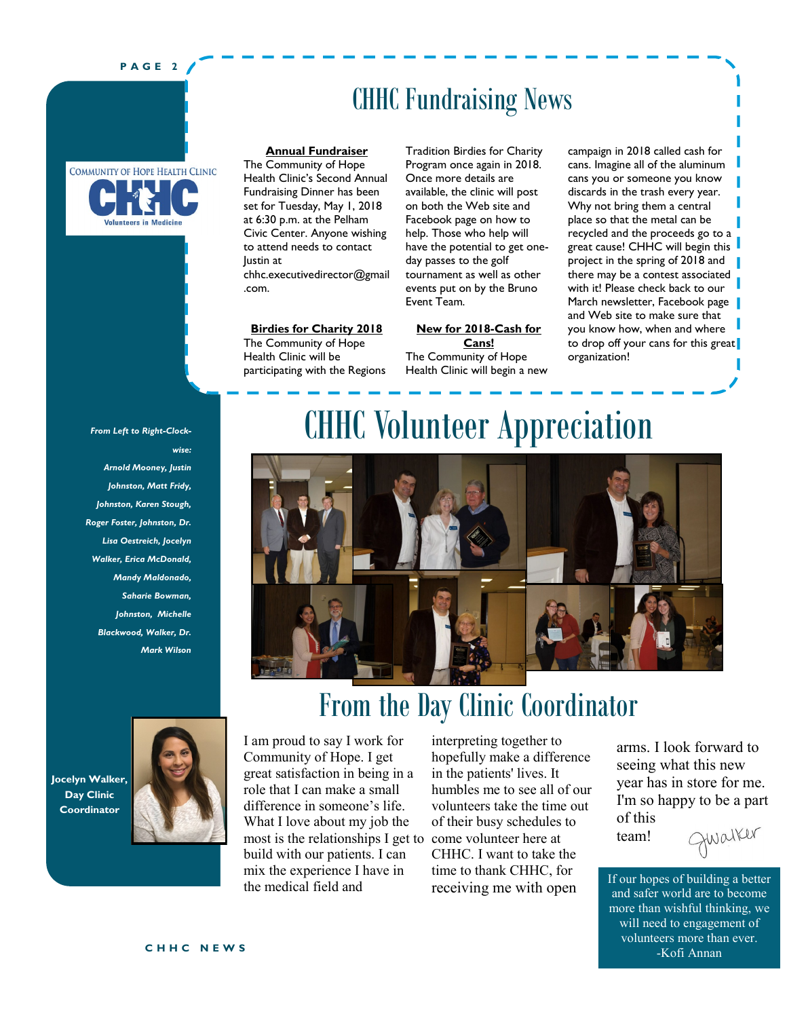### **P A G E 2**

### CHHC Fundraising News

### COMMUNITY OF HOPE HEALTH CLINIC **Infuntoors** in Modicin

**Annual Fundraiser**

The Community of Hope Health Clinic's Second Annual Fundraising Dinner has been set for Tuesday, May 1, 2018 at 6:30 p.m. at the Pelham Civic Center. Anyone wishing to attend needs to contact Justin at chhc.executivedirector@gmail .com.

#### **Birdies for Charity 2018**

The Community of Hope Health Clinic will be participating with the Regions Tradition Birdies for Charity Program once again in 2018. Once more details are available, the clinic will post on both the Web site and Facebook page on how to help. Those who help will have the potential to get oneday passes to the golf tournament as well as other events put on by the Bruno Event Team.

**New for 2018-Cash for Cans!** The Community of Hope Health Clinic will begin a new

campaign in 2018 called cash for cans. Imagine all of the aluminum cans you or someone you know discards in the trash every year. Why not bring them a central place so that the metal can be recycled and the proceeds go to a great cause! CHHC will begin this project in the spring of 2018 and there may be a contest associated with it! Please check back to our March newsletter, Facebook page and Web site to make sure that you know how, when and where to drop off your cans for this great organization!

*From Left to Right-Clockwise:*

*Arnold Mooney, Justin Johnston, Matt Fridy, Johnston, Karen Stough, Roger Foster, Johnston, Dr. Lisa Oestreich, Jocelyn Walker, Erica McDonald, Mandy Maldonado, Saharie Bowman, Johnston, Michelle Blackwood, Walker, Dr. Mark Wilson*

### CHHC Volunteer Appreciation



From the Day Clinic Coordinator

### **Jocelyn Walker, Day Clinic Coordinator**



most is the relationships I get to come volunteer here at I am proud to say I work for Community of Hope. I get great satisfaction in being in a role that I can make a small difference in someone's life. What I love about my job the build with our patients. I can mix the experience I have in the medical field and

interpreting together to hopefully make a difference in the patients' lives. It humbles me to see all of our volunteers take the time out of their busy schedules to CHHC. I want to take the time to thank CHHC, for receiving me with open

arms. I look forward to seeing what this new year has in store for me. I'm so happy to be a part of this Qwalker

team!

If our hopes of building a better and safer world are to become more than wishful thinking, we will need to engagement of volunteers more than ever. -Kofi Annan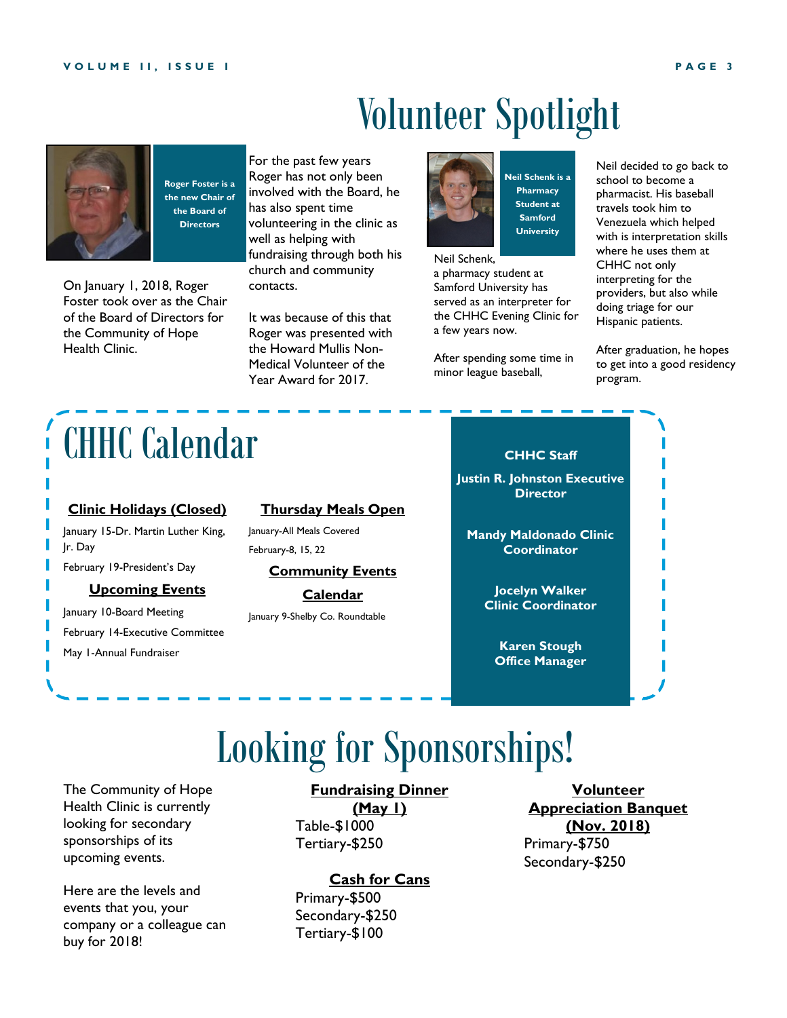# Volunteer Spotlight



**Roger Foster is a the new Chair of the Board of Directors**

On January 1, 2018, Roger Foster took over as the Chair of the Board of Directors for the Community of Hope Health Clinic.

For the past few years Roger has not only been involved with the Board, he has also spent time volunteering in the clinic as well as helping with fundraising through both his church and community contacts.

It was because of this that Roger was presented with the Howard Mullis Non-Medical Volunteer of the Year Award for 2017.



**Neil Schenk is a Pharmacy Student at Samford University**

Neil Schenk,

a pharmacy student at Samford University has served as an interpreter for the CHHC Evening Clinic for a few years now.

After spending some time in minor league baseball,

Neil decided to go back to school to become a pharmacist. His baseball travels took him to Venezuela which helped with is interpretation skills where he uses them at CHHC not only interpreting for the providers, but also while doing triage for our Hispanic patients.

After graduation, he hopes to get into a good residency program.

# CHHC Calendar

### **Clinic Holidays (Closed)**

January 15-Dr. Martin Luther King, Jr. Day

February 19-President's Day

### **Upcoming Events**

January 10-Board Meeting February 14-Executive Committee May 1-Annual Fundraiser

### **Thursday Meals Open**

January-All Meals Covered February-8, 15, 22

**Community Events** 

**Calendar** January 9-Shelby Co. Roundtable



**Justin R. Johnston Executive Director**

**Mandy Maldonado Clinic Coordinator**

> **Jocelyn Walker Clinic Coordinator**

**Karen Stough Office Manager**

# Looking for Sponsorships!

The Community of Hope Health Clinic is currently looking for secondary sponsorships of its upcoming events.

Here are the levels and events that you, your company or a colleague can buy for 2018!

### **Fundraising Dinner**

**(May 1)** Table-\$1000 Tertiary-\$250

### **Cash for Cans**

Primary-\$500 Secondary-\$250 Tertiary-\$100

**Volunteer Appreciation Banquet (Nov. 2018)** Primary-\$750 Secondary-\$250